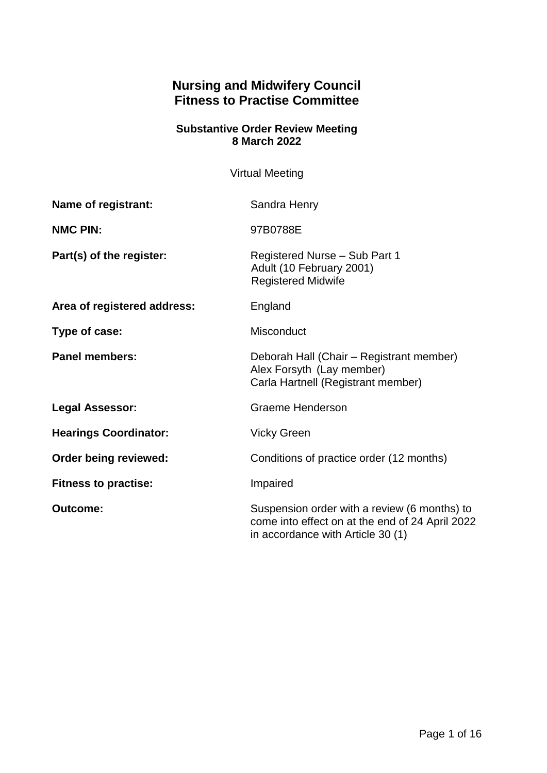# **Nursing and Midwifery Council Fitness to Practise Committee**

#### **Substantive Order Review Meeting 8 March 2022**

Virtual Meeting

| Name of registrant:          | Sandra Henry                                                                                                                         |
|------------------------------|--------------------------------------------------------------------------------------------------------------------------------------|
| <b>NMC PIN:</b>              | 97B0788E                                                                                                                             |
| Part(s) of the register:     | Registered Nurse - Sub Part 1<br>Adult (10 February 2001)<br><b>Registered Midwife</b>                                               |
| Area of registered address:  | England                                                                                                                              |
| Type of case:                | Misconduct                                                                                                                           |
| <b>Panel members:</b>        | Deborah Hall (Chair – Registrant member)<br>Alex Forsyth (Lay member)<br>Carla Hartnell (Registrant member)                          |
| <b>Legal Assessor:</b>       | <b>Graeme Henderson</b>                                                                                                              |
| <b>Hearings Coordinator:</b> | <b>Vicky Green</b>                                                                                                                   |
| Order being reviewed:        | Conditions of practice order (12 months)                                                                                             |
| <b>Fitness to practise:</b>  | Impaired                                                                                                                             |
| <b>Outcome:</b>              | Suspension order with a review (6 months) to<br>come into effect on at the end of 24 April 2022<br>in accordance with Article 30 (1) |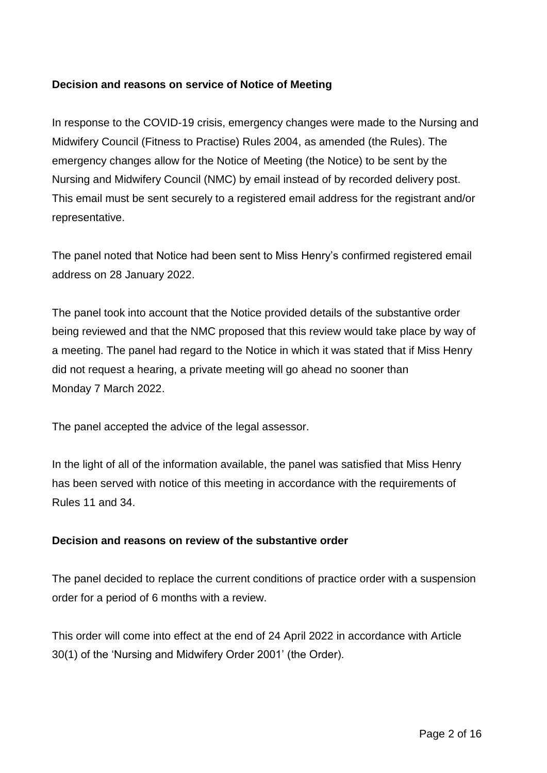## **Decision and reasons on service of Notice of Meeting**

In response to the COVID-19 crisis, emergency changes were made to the Nursing and Midwifery Council (Fitness to Practise) Rules 2004, as amended (the Rules). The emergency changes allow for the Notice of Meeting (the Notice) to be sent by the Nursing and Midwifery Council (NMC) by email instead of by recorded delivery post. This email must be sent securely to a registered email address for the registrant and/or representative.

The panel noted that Notice had been sent to Miss Henry's confirmed registered email address on 28 January 2022.

The panel took into account that the Notice provided details of the substantive order being reviewed and that the NMC proposed that this review would take place by way of a meeting. The panel had regard to the Notice in which it was stated that if Miss Henry did not request a hearing, a private meeting will go ahead no sooner than Monday 7 March 2022.

The panel accepted the advice of the legal assessor.

In the light of all of the information available, the panel was satisfied that Miss Henry has been served with notice of this meeting in accordance with the requirements of Rules 11 and 34.

### **Decision and reasons on review of the substantive order**

The panel decided to replace the current conditions of practice order with a suspension order for a period of 6 months with a review.

This order will come into effect at the end of 24 April 2022 in accordance with Article 30(1) of the 'Nursing and Midwifery Order 2001' (the Order).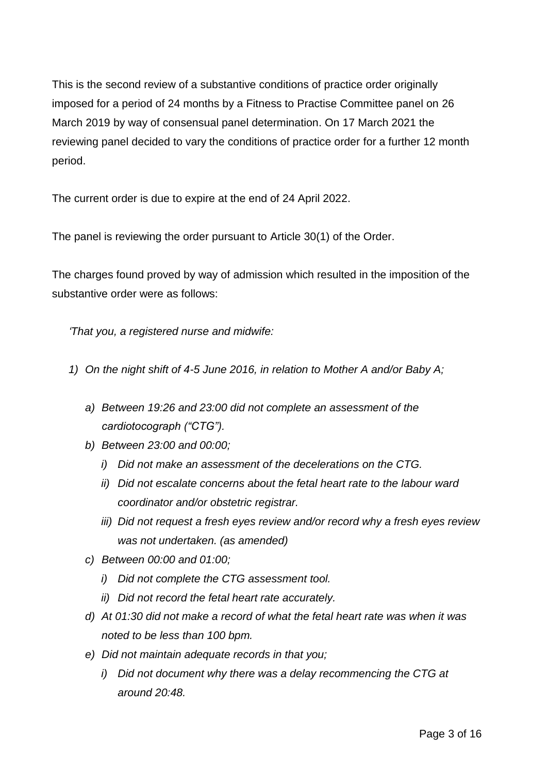This is the second review of a substantive conditions of practice order originally imposed for a period of 24 months by a Fitness to Practise Committee panel on 26 March 2019 by way of consensual panel determination. On 17 March 2021 the reviewing panel decided to vary the conditions of practice order for a further 12 month period.

The current order is due to expire at the end of 24 April 2022.

The panel is reviewing the order pursuant to Article 30(1) of the Order.

The charges found proved by way of admission which resulted in the imposition of the substantive order were as follows:

*'That you, a registered nurse and midwife:*

- *1) On the night shift of 4-5 June 2016, in relation to Mother A and/or Baby A;*
	- *a) Between 19:26 and 23:00 did not complete an assessment of the cardiotocograph ("CTG").*
	- *b) Between 23:00 and 00:00;*
		- *i) Did not make an assessment of the decelerations on the CTG.*
		- *ii) Did not escalate concerns about the fetal heart rate to the labour ward coordinator and/or obstetric registrar.*
		- *iii) Did not request a fresh eyes review and/or record why a fresh eyes review was not undertaken. (as amended)*
	- *c) Between 00:00 and 01:00;*
		- *i) Did not complete the CTG assessment tool.*
		- *ii) Did not record the fetal heart rate accurately.*
	- *d) At 01:30 did not make a record of what the fetal heart rate was when it was noted to be less than 100 bpm.*
	- *e) Did not maintain adequate records in that you;*
		- *i) Did not document why there was a delay recommencing the CTG at around 20:48.*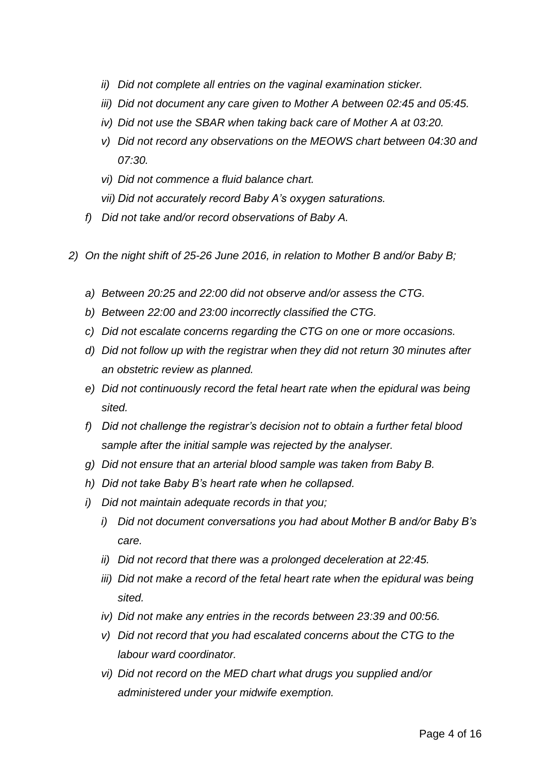- *ii) Did not complete all entries on the vaginal examination sticker.*
- *iii) Did not document any care given to Mother A between 02:45 and 05:45.*
- *iv) Did not use the SBAR when taking back care of Mother A at 03:20.*
- *v) Did not record any observations on the MEOWS chart between 04:30 and 07:30.*
- *vi) Did not commence a fluid balance chart.*
- *vii) Did not accurately record Baby A's oxygen saturations.*
- *f) Did not take and/or record observations of Baby A.*
- *2) On the night shift of 25-26 June 2016, in relation to Mother B and/or Baby B;*
	- *a) Between 20:25 and 22:00 did not observe and/or assess the CTG.*
	- *b) Between 22:00 and 23:00 incorrectly classified the CTG.*
	- *c) Did not escalate concerns regarding the CTG on one or more occasions.*
	- *d) Did not follow up with the registrar when they did not return 30 minutes after an obstetric review as planned.*
	- *e) Did not continuously record the fetal heart rate when the epidural was being sited.*
	- *f) Did not challenge the registrar's decision not to obtain a further fetal blood sample after the initial sample was rejected by the analyser.*
	- *g) Did not ensure that an arterial blood sample was taken from Baby B.*
	- *h) Did not take Baby B's heart rate when he collapsed.*
	- *i) Did not maintain adequate records in that you;*
		- *i) Did not document conversations you had about Mother B and/or Baby B's care.*
		- *ii) Did not record that there was a prolonged deceleration at 22:45.*
		- *iii)* Did not make a record of the fetal heart rate when the epidural was being *sited.*
		- *iv) Did not make any entries in the records between 23:39 and 00:56.*
		- *v) Did not record that you had escalated concerns about the CTG to the labour ward coordinator.*
		- *vi) Did not record on the MED chart what drugs you supplied and/or administered under your midwife exemption.*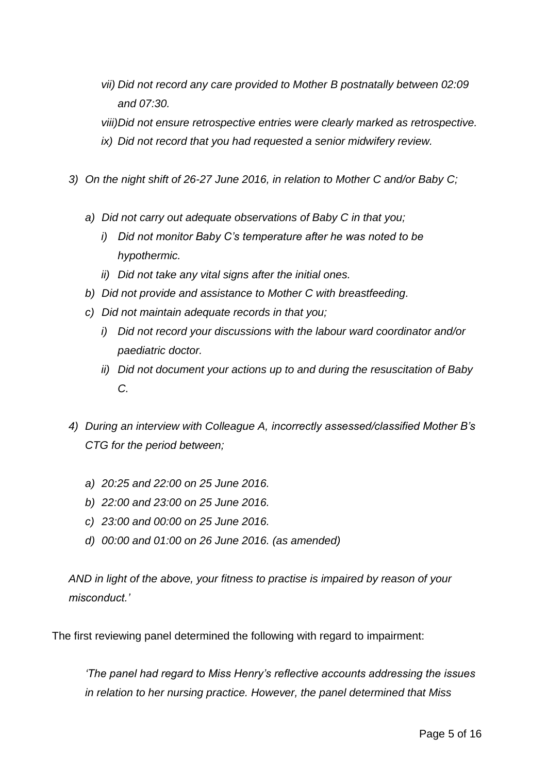*vii) Did not record any care provided to Mother B postnatally between 02:09 and 07:30.*

*viii)Did not ensure retrospective entries were clearly marked as retrospective. ix) Did not record that you had requested a senior midwifery review.*

- *3) On the night shift of 26-27 June 2016, in relation to Mother C and/or Baby C;*
	- *a) Did not carry out adequate observations of Baby C in that you;*
		- *i) Did not monitor Baby C's temperature after he was noted to be hypothermic.*
		- *ii) Did not take any vital signs after the initial ones.*
	- *b) Did not provide and assistance to Mother C with breastfeeding.*
	- *c) Did not maintain adequate records in that you;*
		- *i) Did not record your discussions with the labour ward coordinator and/or paediatric doctor.*
		- *ii) Did not document your actions up to and during the resuscitation of Baby C.*
- *4) During an interview with Colleague A, incorrectly assessed/classified Mother B's CTG for the period between;*
	- *a) 20:25 and 22:00 on 25 June 2016.*
	- *b) 22:00 and 23:00 on 25 June 2016.*
	- *c) 23:00 and 00:00 on 25 June 2016.*
	- *d) 00:00 and 01:00 on 26 June 2016. (as amended)*

*AND in light of the above, your fitness to practise is impaired by reason of your misconduct.'*

The first reviewing panel determined the following with regard to impairment:

*'The panel had regard to Miss Henry's reflective accounts addressing the issues in relation to her nursing practice. However, the panel determined that Miss*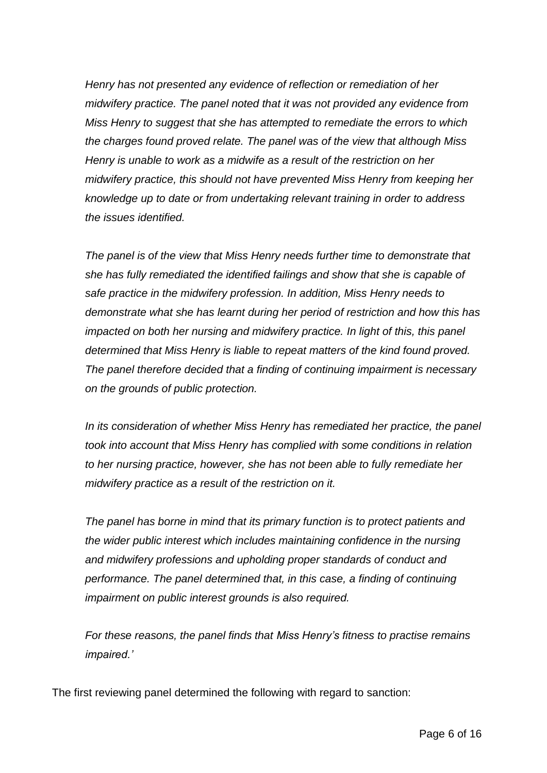*Henry has not presented any evidence of reflection or remediation of her midwifery practice. The panel noted that it was not provided any evidence from Miss Henry to suggest that she has attempted to remediate the errors to which the charges found proved relate. The panel was of the view that although Miss Henry is unable to work as a midwife as a result of the restriction on her midwifery practice, this should not have prevented Miss Henry from keeping her knowledge up to date or from undertaking relevant training in order to address the issues identified.* 

*The panel is of the view that Miss Henry needs further time to demonstrate that she has fully remediated the identified failings and show that she is capable of safe practice in the midwifery profession. In addition, Miss Henry needs to demonstrate what she has learnt during her period of restriction and how this has impacted on both her nursing and midwifery practice. In light of this, this panel determined that Miss Henry is liable to repeat matters of the kind found proved. The panel therefore decided that a finding of continuing impairment is necessary on the grounds of public protection.* 

*In its consideration of whether Miss Henry has remediated her practice, the panel took into account that Miss Henry has complied with some conditions in relation to her nursing practice, however, she has not been able to fully remediate her midwifery practice as a result of the restriction on it.* 

*The panel has borne in mind that its primary function is to protect patients and the wider public interest which includes maintaining confidence in the nursing and midwifery professions and upholding proper standards of conduct and performance. The panel determined that, in this case, a finding of continuing impairment on public interest grounds is also required.*

*For these reasons, the panel finds that Miss Henry's fitness to practise remains impaired.'*

The first reviewing panel determined the following with regard to sanction: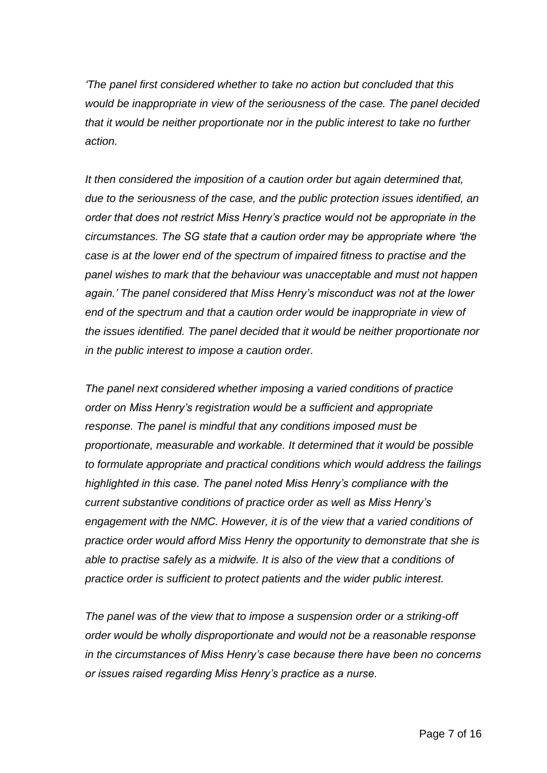*'The panel first considered whether to take no action but concluded that this would be inappropriate in view of the seriousness of the case. The panel decided that it would be neither proportionate nor in the public interest to take no further action.* 

*It then considered the imposition of a caution order but again determined that, due to the seriousness of the case, and the public protection issues identified, an order that does not restrict Miss Henry's practice would not be appropriate in the circumstances. The SG state that a caution order may be appropriate where 'the case is at the lower end of the spectrum of impaired fitness to practise and the panel wishes to mark that the behaviour was unacceptable and must not happen again.' The panel considered that Miss Henry's misconduct was not at the lower end of the spectrum and that a caution order would be inappropriate in view of the issues identified. The panel decided that it would be neither proportionate nor in the public interest to impose a caution order.*

*The panel next considered whether imposing a varied conditions of practice order on Miss Henry's registration would be a sufficient and appropriate response. The panel is mindful that any conditions imposed must be proportionate, measurable and workable. It determined that it would be possible to formulate appropriate and practical conditions which would address the failings highlighted in this case. The panel noted Miss Henry's compliance with the current substantive conditions of practice order as well as Miss Henry's engagement with the NMC. However, it is of the view that a varied conditions of practice order would afford Miss Henry the opportunity to demonstrate that she is able to practise safely as a midwife. It is also of the view that a conditions of practice order is sufficient to protect patients and the wider public interest.*

*The panel was of the view that to impose a suspension order or a striking-off order would be wholly disproportionate and would not be a reasonable response in the circumstances of Miss Henry's case because there have been no concerns or issues raised regarding Miss Henry's practice as a nurse.*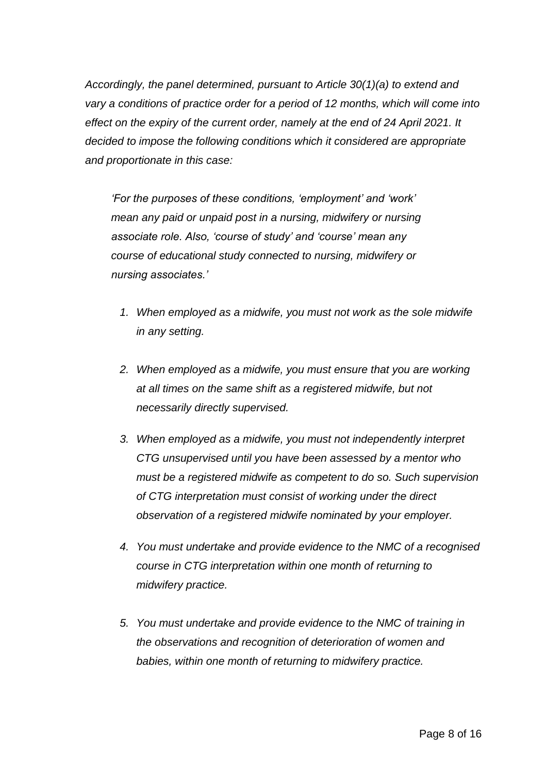*Accordingly, the panel determined, pursuant to Article 30(1)(a) to extend and vary a conditions of practice order for a period of 12 months, which will come into effect on the expiry of the current order, namely at the end of 24 April 2021. It decided to impose the following conditions which it considered are appropriate and proportionate in this case:*

*'For the purposes of these conditions, 'employment' and 'work' mean any paid or unpaid post in a nursing, midwifery or nursing associate role. Also, 'course of study' and 'course' mean any course of educational study connected to nursing, midwifery or nursing associates.'*

- *1. When employed as a midwife, you must not work as the sole midwife in any setting.*
- *2. When employed as a midwife, you must ensure that you are working at all times on the same shift as a registered midwife, but not necessarily directly supervised.*
- *3. When employed as a midwife, you must not independently interpret CTG unsupervised until you have been assessed by a mentor who must be a registered midwife as competent to do so. Such supervision of CTG interpretation must consist of working under the direct observation of a registered midwife nominated by your employer.*
- *4. You must undertake and provide evidence to the NMC of a recognised course in CTG interpretation within one month of returning to midwifery practice.*
- *5. You must undertake and provide evidence to the NMC of training in the observations and recognition of deterioration of women and babies, within one month of returning to midwifery practice.*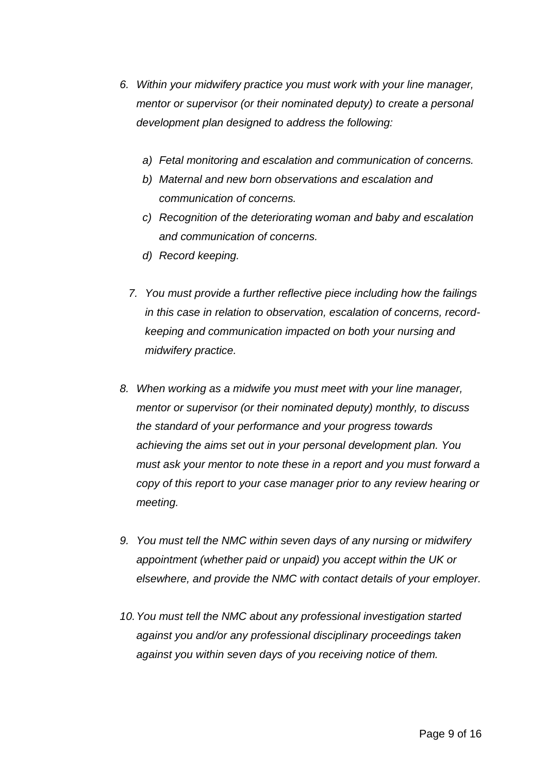- *6. Within your midwifery practice you must work with your line manager, mentor or supervisor (or their nominated deputy) to create a personal development plan designed to address the following:*
	- *a) Fetal monitoring and escalation and communication of concerns.*
	- *b) Maternal and new born observations and escalation and communication of concerns.*
	- *c) Recognition of the deteriorating woman and baby and escalation and communication of concerns.*
	- *d) Record keeping.*
	- *7. You must provide a further reflective piece including how the failings in this case in relation to observation, escalation of concerns, recordkeeping and communication impacted on both your nursing and midwifery practice.*
- *8. When working as a midwife you must meet with your line manager, mentor or supervisor (or their nominated deputy) monthly, to discuss the standard of your performance and your progress towards achieving the aims set out in your personal development plan. You must ask your mentor to note these in a report and you must forward a copy of this report to your case manager prior to any review hearing or meeting.*
- *9. You must tell the NMC within seven days of any nursing or midwifery appointment (whether paid or unpaid) you accept within the UK or elsewhere, and provide the NMC with contact details of your employer.*
- *10.You must tell the NMC about any professional investigation started against you and/or any professional disciplinary proceedings taken against you within seven days of you receiving notice of them.*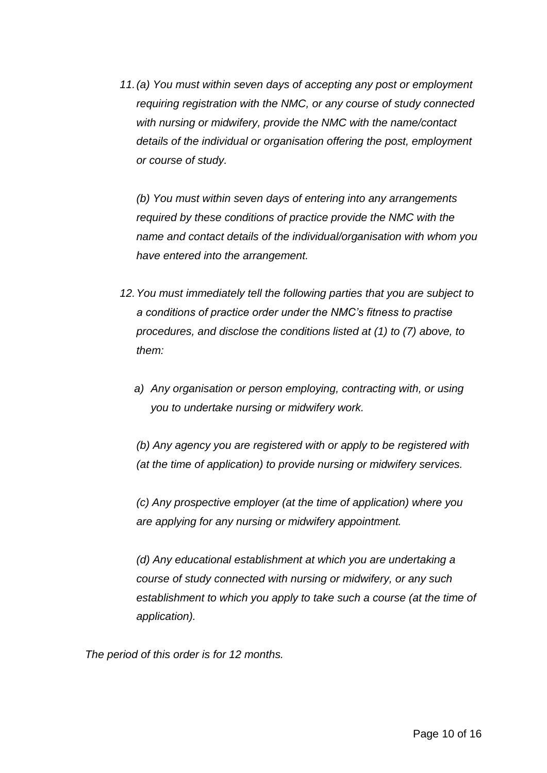*11.(a) You must within seven days of accepting any post or employment requiring registration with the NMC, or any course of study connected with nursing or midwifery, provide the NMC with the name/contact details of the individual or organisation offering the post, employment or course of study.*

*(b) You must within seven days of entering into any arrangements required by these conditions of practice provide the NMC with the name and contact details of the individual/organisation with whom you have entered into the arrangement.*

- *12.You must immediately tell the following parties that you are subject to a conditions of practice order under the NMC's fitness to practise procedures, and disclose the conditions listed at (1) to (7) above, to them:*
	- *a) Any organisation or person employing, contracting with, or using you to undertake nursing or midwifery work.*

*(b) Any agency you are registered with or apply to be registered with (at the time of application) to provide nursing or midwifery services.*

*(c) Any prospective employer (at the time of application) where you are applying for any nursing or midwifery appointment.*

*(d) Any educational establishment at which you are undertaking a course of study connected with nursing or midwifery, or any such establishment to which you apply to take such a course (at the time of application).*

*The period of this order is for 12 months.*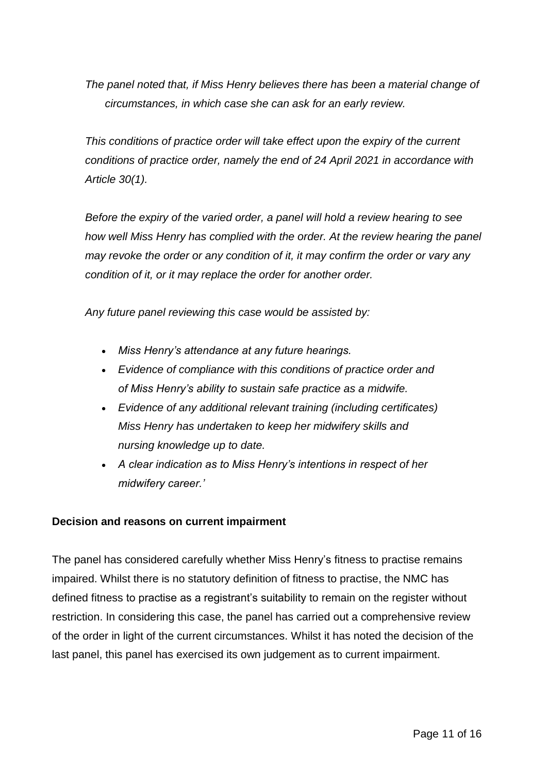*The panel noted that, if Miss Henry believes there has been a material change of circumstances, in which case she can ask for an early review.* 

*This conditions of practice order will take effect upon the expiry of the current conditions of practice order, namely the end of 24 April 2021 in accordance with Article 30(1).*

*Before the expiry of the varied order, a panel will hold a review hearing to see how well Miss Henry has complied with the order. At the review hearing the panel may revoke the order or any condition of it, it may confirm the order or vary any condition of it, or it may replace the order for another order.*

*Any future panel reviewing this case would be assisted by:*

- *Miss Henry's attendance at any future hearings.*
- *Evidence of compliance with this conditions of practice order and of Miss Henry's ability to sustain safe practice as a midwife.*
- *Evidence of any additional relevant training (including certificates) Miss Henry has undertaken to keep her midwifery skills and nursing knowledge up to date.*
- *A clear indication as to Miss Henry's intentions in respect of her midwifery career.'*

### **Decision and reasons on current impairment**

The panel has considered carefully whether Miss Henry's fitness to practise remains impaired. Whilst there is no statutory definition of fitness to practise, the NMC has defined fitness to practise as a registrant's suitability to remain on the register without restriction. In considering this case, the panel has carried out a comprehensive review of the order in light of the current circumstances. Whilst it has noted the decision of the last panel, this panel has exercised its own judgement as to current impairment.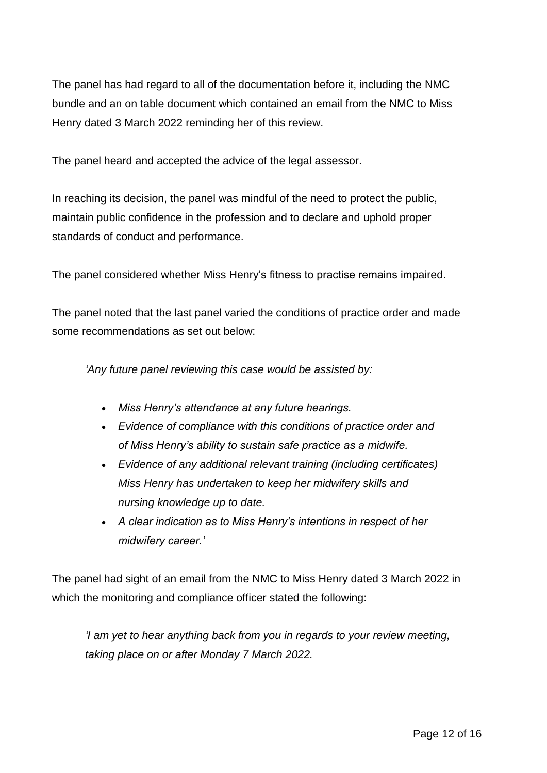The panel has had regard to all of the documentation before it, including the NMC bundle and an on table document which contained an email from the NMC to Miss Henry dated 3 March 2022 reminding her of this review.

The panel heard and accepted the advice of the legal assessor.

In reaching its decision, the panel was mindful of the need to protect the public, maintain public confidence in the profession and to declare and uphold proper standards of conduct and performance.

The panel considered whether Miss Henry's fitness to practise remains impaired.

The panel noted that the last panel varied the conditions of practice order and made some recommendations as set out below:

*'Any future panel reviewing this case would be assisted by:*

- *Miss Henry's attendance at any future hearings.*
- *Evidence of compliance with this conditions of practice order and of Miss Henry's ability to sustain safe practice as a midwife.*
- *Evidence of any additional relevant training (including certificates) Miss Henry has undertaken to keep her midwifery skills and nursing knowledge up to date.*
- *A clear indication as to Miss Henry's intentions in respect of her midwifery career.'*

The panel had sight of an email from the NMC to Miss Henry dated 3 March 2022 in which the monitoring and compliance officer stated the following:

*'I am yet to hear anything back from you in regards to your review meeting, taking place on or after Monday 7 March 2022.*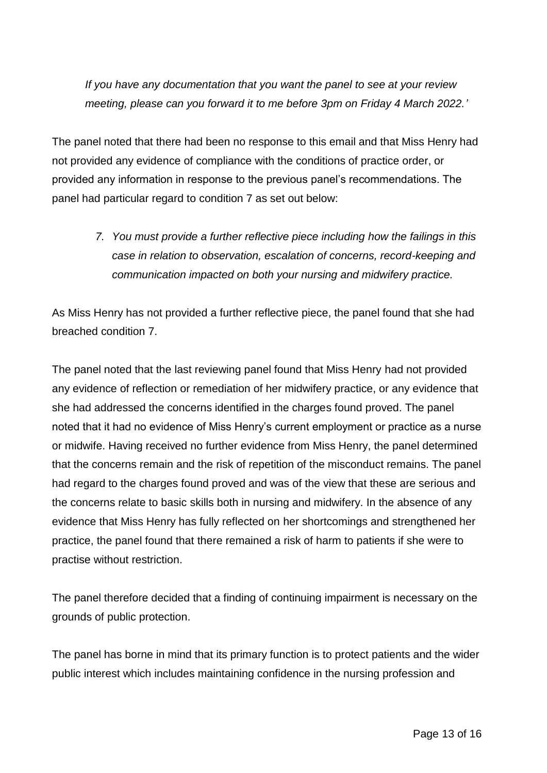*If you have any documentation that you want the panel to see at your review meeting, please can you forward it to me before 3pm on Friday 4 March 2022.'*

The panel noted that there had been no response to this email and that Miss Henry had not provided any evidence of compliance with the conditions of practice order, or provided any information in response to the previous panel's recommendations. The panel had particular regard to condition 7 as set out below:

> *7. You must provide a further reflective piece including how the failings in this case in relation to observation, escalation of concerns, record-keeping and communication impacted on both your nursing and midwifery practice.*

As Miss Henry has not provided a further reflective piece, the panel found that she had breached condition 7.

The panel noted that the last reviewing panel found that Miss Henry had not provided any evidence of reflection or remediation of her midwifery practice, or any evidence that she had addressed the concerns identified in the charges found proved. The panel noted that it had no evidence of Miss Henry's current employment or practice as a nurse or midwife. Having received no further evidence from Miss Henry, the panel determined that the concerns remain and the risk of repetition of the misconduct remains. The panel had regard to the charges found proved and was of the view that these are serious and the concerns relate to basic skills both in nursing and midwifery. In the absence of any evidence that Miss Henry has fully reflected on her shortcomings and strengthened her practice, the panel found that there remained a risk of harm to patients if she were to practise without restriction.

The panel therefore decided that a finding of continuing impairment is necessary on the grounds of public protection.

The panel has borne in mind that its primary function is to protect patients and the wider public interest which includes maintaining confidence in the nursing profession and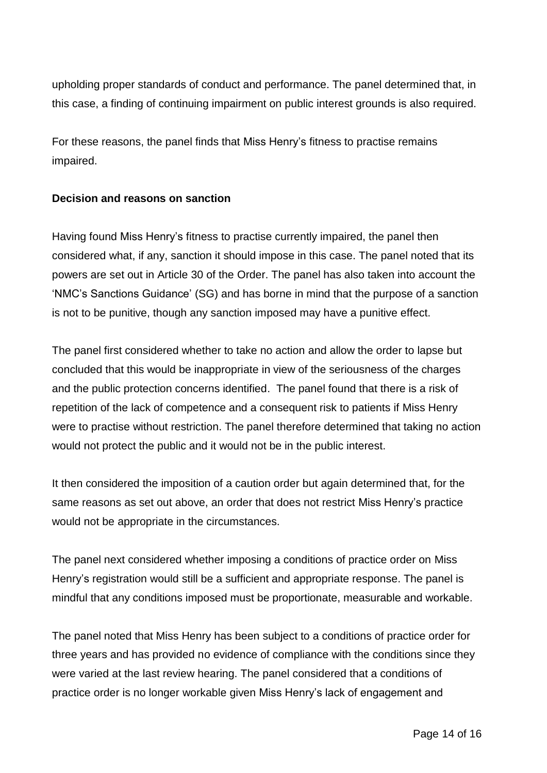upholding proper standards of conduct and performance. The panel determined that, in this case, a finding of continuing impairment on public interest grounds is also required.

For these reasons, the panel finds that Miss Henry's fitness to practise remains impaired.

### **Decision and reasons on sanction**

Having found Miss Henry's fitness to practise currently impaired, the panel then considered what, if any, sanction it should impose in this case. The panel noted that its powers are set out in Article 30 of the Order. The panel has also taken into account the 'NMC's Sanctions Guidance' (SG) and has borne in mind that the purpose of a sanction is not to be punitive, though any sanction imposed may have a punitive effect.

The panel first considered whether to take no action and allow the order to lapse but concluded that this would be inappropriate in view of the seriousness of the charges and the public protection concerns identified. The panel found that there is a risk of repetition of the lack of competence and a consequent risk to patients if Miss Henry were to practise without restriction. The panel therefore determined that taking no action would not protect the public and it would not be in the public interest.

It then considered the imposition of a caution order but again determined that, for the same reasons as set out above, an order that does not restrict Miss Henry's practice would not be appropriate in the circumstances.

The panel next considered whether imposing a conditions of practice order on Miss Henry's registration would still be a sufficient and appropriate response. The panel is mindful that any conditions imposed must be proportionate, measurable and workable.

The panel noted that Miss Henry has been subject to a conditions of practice order for three years and has provided no evidence of compliance with the conditions since they were varied at the last review hearing. The panel considered that a conditions of practice order is no longer workable given Miss Henry's lack of engagement and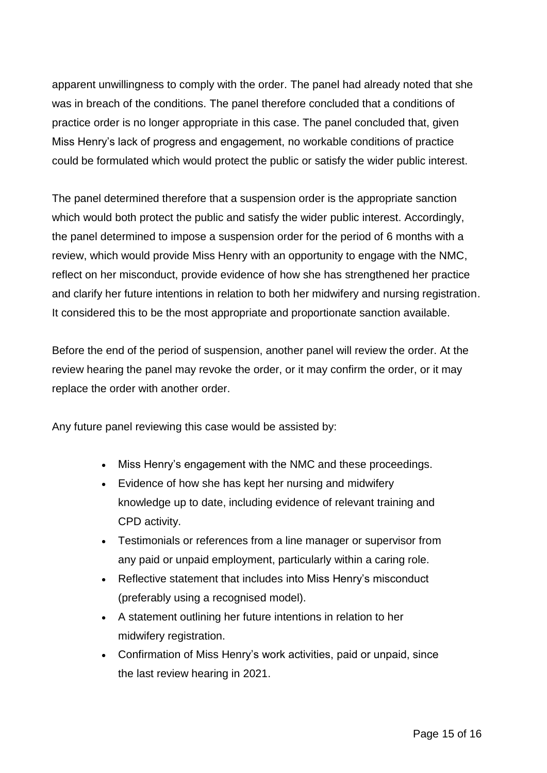apparent unwillingness to comply with the order. The panel had already noted that she was in breach of the conditions. The panel therefore concluded that a conditions of practice order is no longer appropriate in this case. The panel concluded that, given Miss Henry's lack of progress and engagement, no workable conditions of practice could be formulated which would protect the public or satisfy the wider public interest.

The panel determined therefore that a suspension order is the appropriate sanction which would both protect the public and satisfy the wider public interest. Accordingly, the panel determined to impose a suspension order for the period of 6 months with a review, which would provide Miss Henry with an opportunity to engage with the NMC, reflect on her misconduct, provide evidence of how she has strengthened her practice and clarify her future intentions in relation to both her midwifery and nursing registration. It considered this to be the most appropriate and proportionate sanction available.

Before the end of the period of suspension, another panel will review the order. At the review hearing the panel may revoke the order, or it may confirm the order, or it may replace the order with another order.

Any future panel reviewing this case would be assisted by:

- Miss Henry's engagement with the NMC and these proceedings.
- Evidence of how she has kept her nursing and midwifery knowledge up to date, including evidence of relevant training and CPD activity.
- Testimonials or references from a line manager or supervisor from any paid or unpaid employment, particularly within a caring role.
- Reflective statement that includes into Miss Henry's misconduct (preferably using a recognised model).
- A statement outlining her future intentions in relation to her midwifery registration.
- Confirmation of Miss Henry's work activities, paid or unpaid, since the last review hearing in 2021.